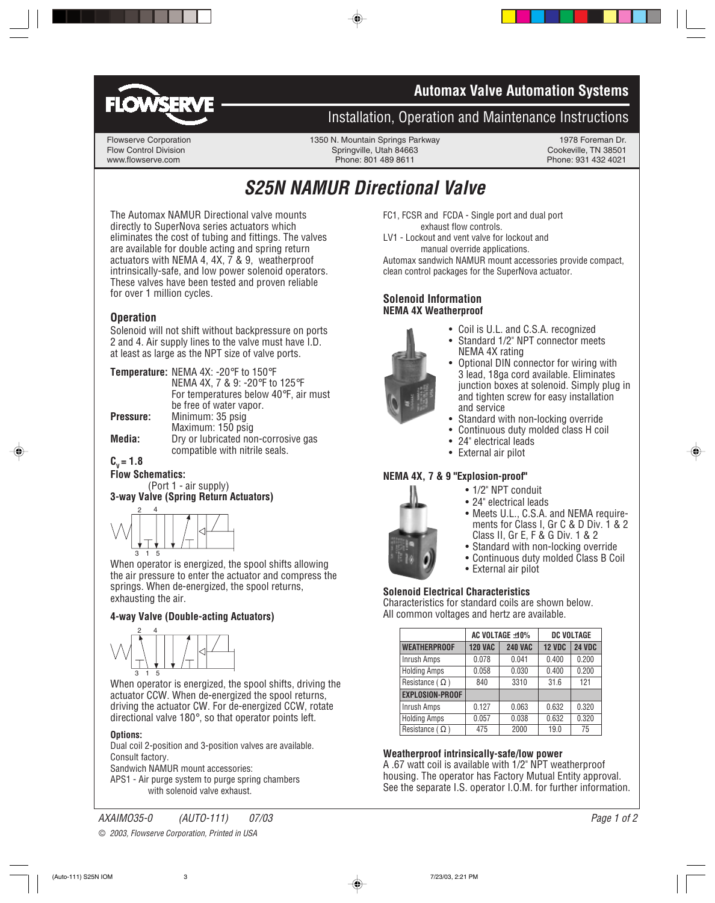



## **Installation, Operation and Maintenance Instructions**

Flowserve Corporation 1350 N. Mountain Springs Parkway 1978 Foreman Dr.<br>Flow Control Division 1978 Foreman Dr. Springville. Utah 84663 69 Cookeville. TN 38501 Flow Control Division Springville, Utah 84663 Cookeville, TN 38501 Phone: 801 489 8611

# **S25N NAMUR Directional Valve**

The Automax NAMUR Directional valve mounts directly to SuperNova series actuators which eliminates the cost of tubing and fittings. The valves are available for double acting and spring return actuators with NEMA 4, 4X, 7 & 9, weatherproof intrinsically-safe, and low power solenoid operators. These valves have been tested and proven reliable for over 1 million cycles.

#### **Operation**

Solenoid will not shift without backpressure on ports 2 and 4. Air supply lines to the valve must have I.D. at least as large as the NPT size of valve ports.

|           | Temperature: NEMA 4X: -20°F to 150°F                                  |
|-----------|-----------------------------------------------------------------------|
|           | NEMA 4X, 7 & 9: -20°F to 125°F                                        |
|           | For temperatures below 40°F, air must                                 |
|           | be free of water vapor.                                               |
| Pressure: | Minimum: 35 psig                                                      |
|           | Maximum: 150 psig                                                     |
| Media:    | Dry or lubricated non-corrosive gas<br>compatible with nitrile seals. |
|           |                                                                       |

#### $C_v = 1.8$

**Flow Schematics:** (Port 1 - air supply)

**3-way Valve (Spring Return Actuators)**



When operator is energized, the spool shifts allowing the air pressure to enter the actuator and compress the springs. When de-energized, the spool returns, exhausting the air.

#### **4-way Valve (Double-acting Actuators)**



When operator is energized, the spool shifts, driving the actuator CCW. When de-energized the spool returns, driving the actuator CW. For de-energized CCW, rotate directional valve 180°, so that operator points left.

#### **Options:**

Dual coil 2-position and 3-position valves are available. Consult factory.

Sandwich NAMUR mount accessories:

APS1 - Air purge system to purge spring chambers with solenoid valve exhaust.

FC1, FCSR and FCDA - Single port and dual port exhaust flow controls.

LV1 - Lockout and vent valve for lockout and manual override applications.

Automax sandwich NAMUR mount accessories provide compact, clean control packages for the SuperNova actuator.

#### **Solenoid Information NEMA 4X Weatherproof**



- Coil is U.L. and C.S.A. recognized
- Standard 1/2" NPT connector meets NEMA 4X rating
- Optional DIN connector for wiring with 3 lead, 18ga cord available. Eliminates junction boxes at solenoid. Simply plug in and tighten screw for easy installation and service
- Standard with non-locking override
- Continuous duty molded class H coil
- 24" electrical leads
- External air pilot

#### **NEMA 4X, 7 & 9 "Explosion-proof"**

- 1/2" NPT conduit
- 24" electrical leads
- Meets U.L., C.S.A. and NEMA requirements for Class I, Gr C & D Div. 1 & 2 Class II, Gr E, F & G Div. 1 & 2
- Standard with non-locking override
- Continuous duty molded Class B Coil
- External air pilot

#### **Solenoid Electrical Characteristics**

Characteristics for standard coils are shown below. All common voltages and hertz are available.

|                         | AC VOLTAGE ±10% |                | <b>DC VOLTAGE</b> |               |
|-------------------------|-----------------|----------------|-------------------|---------------|
| <b>WEATHERPROOF</b>     | <b>120 VAC</b>  | <b>240 VAC</b> | <b>12 VDC</b>     | <b>24 VDC</b> |
| Inrush Amps             | 0.078           | 0.041          | 0.400             | 0.200         |
| <b>Holding Amps</b>     | 0.058           | 0.030          | 0.400             | 0.200         |
| Resistance $(\Omega)$   | 840             | 3310           | 31.6              | 121           |
| <b>EXPLOSION-PROOF</b>  |                 |                |                   |               |
| Inrush Amps             | 0.127           | 0.063          | 0.632             | 0.320         |
| <b>Holding Amps</b>     | 0.057           | 0.038          | 0.632             | 0.320         |
| Resistance ( $\Omega$ ) | 475             | 2000           | 19.0              | 75            |

#### **Weatherproof intrinsically-safe/low power**

A .67 watt coil is available with 1/2" NPT weatherproof housing. The operator has Factory Mutual Entity approval. See the separate I.S. operator I.O.M. for further information.